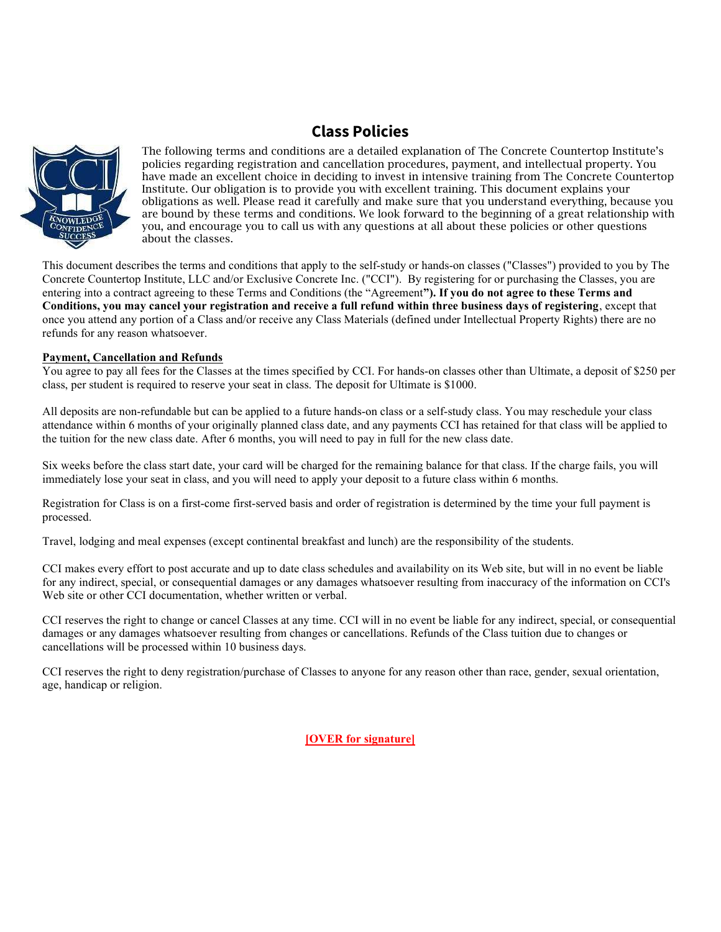# Class Policies



The following terms and conditions are a detailed explanation of The Concrete Countertop Institute's policies regarding registration and cancellation procedures, payment, and intellectual property. You have made an excellent choice in deciding to invest in intensive training from The Concrete Countertop Institute. Our obligation is to provide you with excellent training. This document explains your obligations as well. Please read it carefully and make sure that you understand everything, because you are bound by these terms and conditions. We look forward to the beginning of a great relationship with you, and encourage you to call us with any questions at all about these policies or other questions about the classes.

This document describes the terms and conditions that apply to the self-study or hands-on classes ("Classes") provided to you by The Concrete Countertop Institute, LLC and/or Exclusive Concrete Inc. ("CCI"). By registering for or purchasing the Classes, you are entering into a contract agreeing to these Terms and Conditions (the "Agreement"). If you do not agree to these Terms and Conditions, you may cancel your registration and receive a full refund within three business days of registering, except that once you attend any portion of a Class and/or receive any Class Materials (defined under Intellectual Property Rights) there are no refunds for any reason whatsoever.

### Payment, Cancellation and Refunds

You agree to pay all fees for the Classes at the times specified by CCI. For hands-on classes other than Ultimate, a deposit of \$250 per class, per student is required to reserve your seat in class. The deposit for Ultimate is \$1000.

All deposits are non-refundable but can be applied to a future hands-on class or a self-study class. You may reschedule your class attendance within 6 months of your originally planned class date, and any payments CCI has retained for that class will be applied to the tuition for the new class date. After 6 months, you will need to pay in full for the new class date.

Six weeks before the class start date, your card will be charged for the remaining balance for that class. If the charge fails, you will immediately lose your seat in class, and you will need to apply your deposit to a future class within 6 months.

Registration for Class is on a first-come first-served basis and order of registration is determined by the time your full payment is processed.

Travel, lodging and meal expenses (except continental breakfast and lunch) are the responsibility of the students.

CCI makes every effort to post accurate and up to date class schedules and availability on its Web site, but will in no event be liable for any indirect, special, or consequential damages or any damages whatsoever resulting from inaccuracy of the information on CCI's Web site or other CCI documentation, whether written or verbal.

CCI reserves the right to change or cancel Classes at any time. CCI will in no event be liable for any indirect, special, or consequential damages or any damages whatsoever resulting from changes or cancellations. Refunds of the Class tuition due to changes or cancellations will be processed within 10 business days.

CCI reserves the right to deny registration/purchase of Classes to anyone for any reason other than race, gender, sexual orientation, age, handicap or religion.

[OVER for signature]